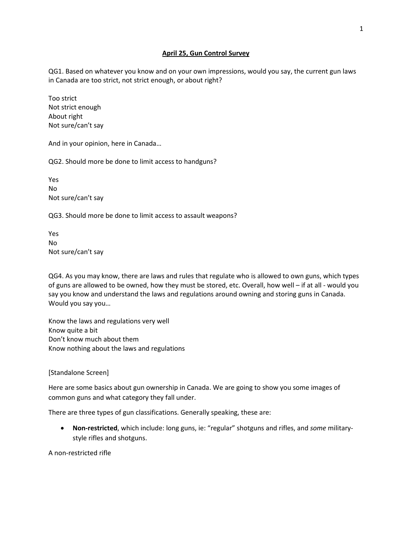## **April 25, Gun Control Survey**

QG1. Based on whatever you know and on your own impressions, would you say, the current gun laws in Canada are too strict, not strict enough, or about right?

Too strict Not strict enough About right Not sure/can't say

And in your opinion, here in Canada…

QG2. Should more be done to limit access to handguns?

Yes No Not sure/can't say

QG3. Should more be done to limit access to assault weapons?

Yes No Not sure/can't say

QG4. As you may know, there are laws and rules that regulate who is allowed to own guns, which types of guns are allowed to be owned, how they must be stored, etc. Overall, how well – if at all - would you say you know and understand the laws and regulations around owning and storing guns in Canada. Would you say you…

Know the laws and regulations very well Know quite a bit Don't know much about them Know nothing about the laws and regulations

## [Standalone Screen]

Here are some basics about gun ownership in Canada. We are going to show you some images of common guns and what category they fall under.

There are three types of gun classifications. Generally speaking, these are:

• **Non-restricted**, which include: long guns, ie: "regular" shotguns and rifles, and *some* militarystyle rifles and shotguns.

A non-restricted rifle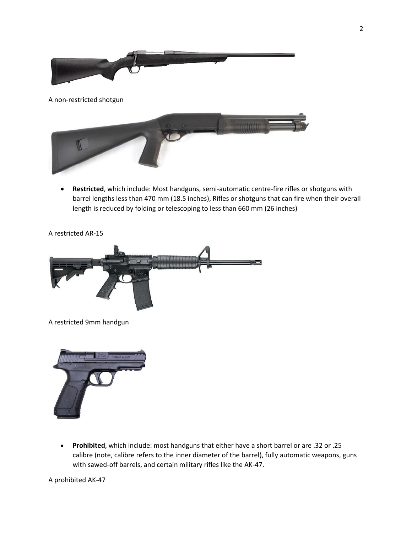

• **Restricted**, which include: Most handguns, semi-automatic centre-fire rifles or shotguns with barrel lengths less than 470 mm (18.5 inches), Rifles or shotguns that can fire when their overall length is reduced by folding or telescoping to less than 660 mm (26 inches)

A restricted AR-15



A restricted 9mm handgun



• **Prohibited**, which include: most handguns that either have a short barrel or are .32 or .25 calibre (note, calibre refers to the inner diameter of the barrel), fully automatic weapons, guns with sawed-off barrels, and certain military rifles like the AK-47.

A prohibited AK-47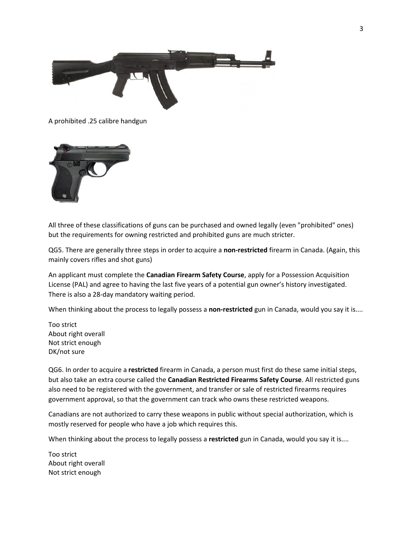

A prohibited .25 calibre handgun



All three of these classifications of guns can be purchased and owned legally (even "prohibited" ones) but the requirements for owning restricted and prohibited guns are much stricter.

QG5. There are generally three steps in order to acquire a **non-restricted** firearm in Canada. (Again, this mainly covers rifles and shot guns)

An applicant must complete the **Canadian Firearm Safety Course**, apply for a Possession Acquisition License (PAL) and agree to having the last five years of a potential gun owner's history investigated. There is also a 28-day mandatory waiting period.

When thinking about the process to legally possess a **non-restricted** gun in Canada, would you say it is....

Too strict About right overall Not strict enough DK/not sure

QG6. In order to acquire a **restricted** firearm in Canada, a person must first do these same initial steps, but also take an extra course called the **Canadian Restricted Firearms Safety Course**. All restricted guns also need to be registered with the government, and transfer or sale of restricted firearms requires government approval, so that the government can track who owns these restricted weapons.

Canadians are not authorized to carry these weapons in public without special authorization, which is mostly reserved for people who have a job which requires this.

When thinking about the process to legally possess a **restricted** gun in Canada, would you say it is....

Too strict About right overall Not strict enough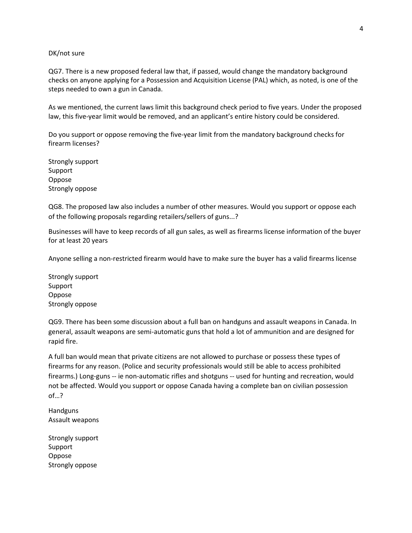## DK/not sure

QG7. There is a new proposed federal law that, if passed, would change the mandatory background checks on anyone applying for a Possession and Acquisition License (PAL) which, as noted, is one of the steps needed to own a gun in Canada.

As we mentioned, the current laws limit this background check period to five years. Under the proposed law, this five-year limit would be removed, and an applicant's entire history could be considered.

Do you support or oppose removing the five-year limit from the mandatory background checks for firearm licenses?

Strongly support Support Oppose Strongly oppose

QG8. The proposed law also includes a number of other measures. Would you support or oppose each of the following proposals regarding retailers/sellers of guns...?

Businesses will have to keep records of all gun sales, as well as firearms license information of the buyer for at least 20 years

Anyone selling a non-restricted firearm would have to make sure the buyer has a valid firearms license

Strongly support Support Oppose Strongly oppose

QG9. There has been some discussion about a full ban on handguns and assault weapons in Canada. In general, assault weapons are semi-automatic guns that hold a lot of ammunition and are designed for rapid fire.

A full ban would mean that private citizens are not allowed to purchase or possess these types of firearms for any reason. (Police and security professionals would still be able to access prohibited firearms.) Long-guns -- ie non-automatic rifles and shotguns -- used for hunting and recreation, would not be affected. Would you support or oppose Canada having a complete ban on civilian possession of…?

Handguns Assault weapons

Strongly support Support Oppose Strongly oppose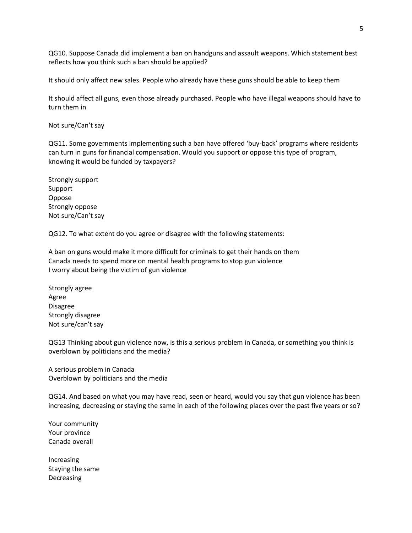QG10. Suppose Canada did implement a ban on handguns and assault weapons. Which statement best reflects how you think such a ban should be applied?

It should only affect new sales. People who already have these guns should be able to keep them

It should affect all guns, even those already purchased. People who have illegal weapons should have to turn them in

Not sure/Can't say

QG11. Some governments implementing such a ban have offered 'buy-back' programs where residents can turn in guns for financial compensation. Would you support or oppose this type of program, knowing it would be funded by taxpayers?

Strongly support Support Oppose Strongly oppose Not sure/Can't say

QG12. To what extent do you agree or disagree with the following statements:

A ban on guns would make it more difficult for criminals to get their hands on them Canada needs to spend more on mental health programs to stop gun violence I worry about being the victim of gun violence

Strongly agree Agree Disagree Strongly disagree Not sure/can't say

QG13 Thinking about gun violence now, is this a serious problem in Canada, or something you think is overblown by politicians and the media?

A serious problem in Canada Overblown by politicians and the media

QG14. And based on what you may have read, seen or heard, would you say that gun violence has been increasing, decreasing or staying the same in each of the following places over the past five years or so?

Your community Your province Canada overall

Increasing Staying the same Decreasing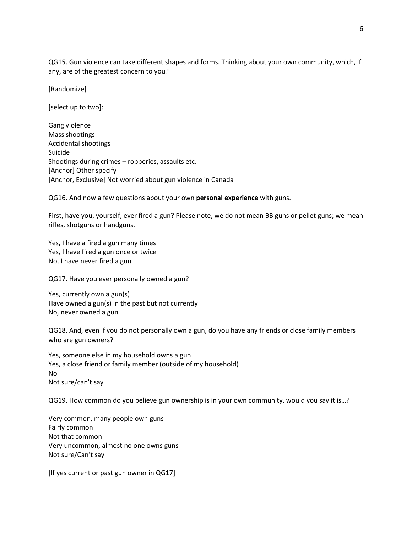QG15. Gun violence can take different shapes and forms. Thinking about your own community, which, if any, are of the greatest concern to you?

[Randomize]

[select up to two]:

Gang violence Mass shootings Accidental shootings Suicide Shootings during crimes – robberies, assaults etc. [Anchor] Other specify [Anchor, Exclusive] Not worried about gun violence in Canada

QG16. And now a few questions about your own **personal experience** with guns.

First, have you, yourself, ever fired a gun? Please note, we do not mean BB guns or pellet guns; we mean rifles, shotguns or handguns.

Yes, I have a fired a gun many times Yes, I have fired a gun once or twice No, I have never fired a gun

QG17. Have you ever personally owned a gun?

Yes, currently own a gun(s) Have owned a gun(s) in the past but not currently No, never owned a gun

QG18. And, even if you do not personally own a gun, do you have any friends or close family members who are gun owners?

Yes, someone else in my household owns a gun Yes, a close friend or family member (outside of my household) No Not sure/can't say

QG19. How common do you believe gun ownership is in your own community, would you say it is…?

Very common, many people own guns Fairly common Not that common Very uncommon, almost no one owns guns Not sure/Can't say

[If yes current or past gun owner in QG17]